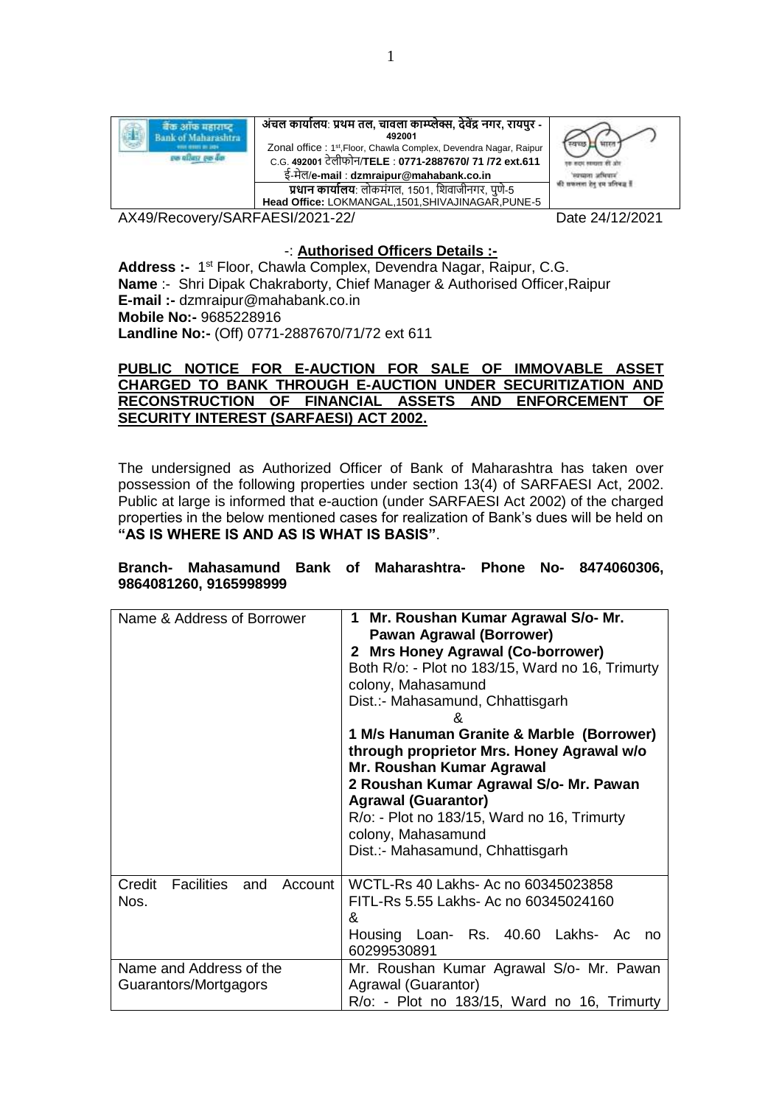

AX49/Recovery/SARFAESI/2021-22/ Date 24/12/2021

# -: **Authorised Officers Details :-**

Address :- 1<sup>st</sup> Floor, Chawla Complex, Devendra Nagar, Raipur, C.G. **Name :-** Shri Dipak Chakraborty, Chief Manager & Authorised Officer, Raipur **E-mail :-** dzmraipur@mahabank.co.in **Mobile No:-** 9685228916 **Landline No:-** (Off) 0771-2887670/71/72 ext 611

#### **PUBLIC NOTICE FOR E-AUCTION FOR SALE OF IMMOVABLE ASSET CHARGED TO BANK THROUGH E-AUCTION UNDER SECURITIZATION AND RECONSTRUCTION OF FINANCIAL ASSETS AND ENFORCEMENT OF SECURITY INTEREST (SARFAESI) ACT 2002.**

The undersigned as Authorized Officer of Bank of Maharashtra has taken over possession of the following properties under section 13(4) of SARFAESI Act, 2002. Public at large is informed that e-auction (under SARFAESI Act 2002) of the charged properties in the below mentioned cases for realization of Bank's dues will be held on **"AS IS WHERE IS AND AS IS WHAT IS BASIS"**.

### **Branch- Mahasamund Bank of Maharashtra- Phone No- 8474060306, 9864081260, 9165998999**

| Name & Address of Borrower                       | Mr. Roushan Kumar Agrawal S/o- Mr.<br>1<br><b>Pawan Agrawal (Borrower)</b><br>2 Mrs Honey Agrawal (Co-borrower)<br>Both R/o: - Plot no 183/15, Ward no 16, Trimurty<br>colony, Mahasamund<br>Dist.:- Mahasamund, Chhattisgarh<br>&<br>1 M/s Hanuman Granite & Marble (Borrower)<br>through proprietor Mrs. Honey Agrawal w/o<br>Mr. Roushan Kumar Agrawal<br>2 Roushan Kumar Agrawal S/o- Mr. Pawan<br><b>Agrawal (Guarantor)</b><br>$R$ /o: - Plot no 183/15, Ward no 16, Trimurty<br>colony, Mahasamund<br>Dist.:- Mahasamund, Chhattisgarh |  |  |  |  |  |  |  |
|--------------------------------------------------|-----------------------------------------------------------------------------------------------------------------------------------------------------------------------------------------------------------------------------------------------------------------------------------------------------------------------------------------------------------------------------------------------------------------------------------------------------------------------------------------------------------------------------------------------|--|--|--|--|--|--|--|
| Credit<br>Facilities and<br>Account  <br>Nos.    | WCTL-Rs 40 Lakhs- Ac no 60345023858<br>FITL-Rs 5.55 Lakhs- Ac no 60345024160<br>&<br>Housing Loan- Rs. 40.60 Lakhs- Ac<br>no<br>60299530891                                                                                                                                                                                                                                                                                                                                                                                                   |  |  |  |  |  |  |  |
| Name and Address of the<br>Guarantors/Mortgagors | Mr. Roushan Kumar Agrawal S/o- Mr. Pawan<br>Agrawal (Guarantor)<br>R/o: - Plot no 183/15, Ward no 16, Trimurty                                                                                                                                                                                                                                                                                                                                                                                                                                |  |  |  |  |  |  |  |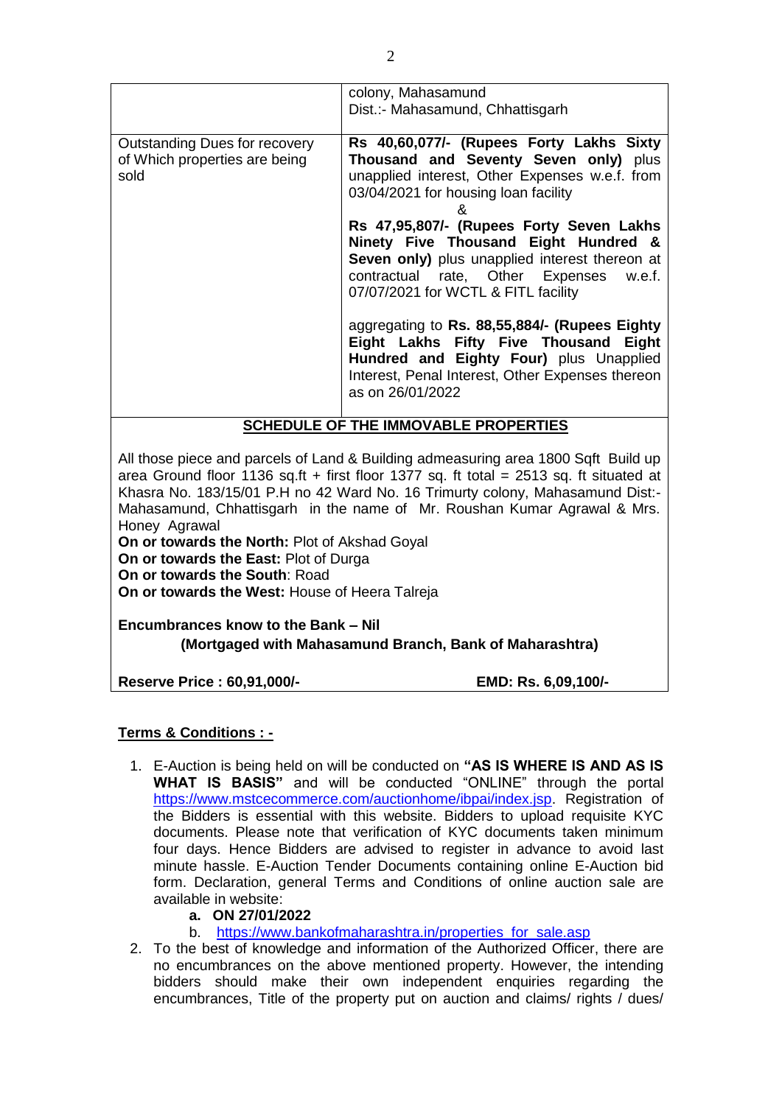| Dist.:- Mahasamund, Chhattisgarh<br>Rs 40,60,077/- (Rupees Forty Lakhs Sixty<br>Outstanding Dues for recovery<br>Thousand and Seventy Seven only) plus<br>of Which properties are being<br>unapplied interest, Other Expenses w.e.f. from<br>sold<br>03/04/2021 for housing loan facility<br>ጼ<br>Rs 47,95,807/- (Rupees Forty Seven Lakhs<br>Ninety Five Thousand Eight Hundred &<br>Seven only) plus unapplied interest thereon at | colony, Mahasamund                      |
|--------------------------------------------------------------------------------------------------------------------------------------------------------------------------------------------------------------------------------------------------------------------------------------------------------------------------------------------------------------------------------------------------------------------------------------|-----------------------------------------|
|                                                                                                                                                                                                                                                                                                                                                                                                                                      |                                         |
|                                                                                                                                                                                                                                                                                                                                                                                                                                      |                                         |
|                                                                                                                                                                                                                                                                                                                                                                                                                                      |                                         |
| 07/07/2021 for WCTL & FITL facility<br>aggregating to Rs. 88,55,884/- (Rupees Eighty<br>Eight Lakhs Fifty Five Thousand Eight<br>Hundred and Eighty Four) plus Unapplied<br>Interest, Penal Interest, Other Expenses thereon<br>as on 26/01/2022                                                                                                                                                                                     | contractual rate, Other Expenses w.e.f. |

# **SCHEDULE OF THE IMMOVABLE PROPERTIES**

All those piece and parcels of Land & Building admeasuring area 1800 Sqft Build up area Ground floor 1136 sq.ft + first floor 1377 sq. ft total =  $2513$  sq. ft situated at Khasra No. 183/15/01 P.H no 42 Ward No. 16 Trimurty colony, Mahasamund Dist:- Mahasamund, Chhattisgarh in the name of Mr. Roushan Kumar Agrawal & Mrs. Honey Agrawal

**On or towards the North:** Plot of Akshad Goyal **On or towards the East:** Plot of Durga **On or towards the South**: Road **On or towards the West:** House of Heera Talreja

**Encumbrances know to the Bank – Nil (Mortgaged with Mahasamund Branch, Bank of Maharashtra)**

**Reserve Price : 60,91,000/- EMD: Rs. 6,09,100/-**

## **Terms & Conditions : -**

- 1. E-Auction is being held on will be conducted on **"AS IS WHERE IS AND AS IS WHAT IS BASIS"** and will be conducted "ONLINE" through the portal [https://www.mstcecommerce.com/auctionhome/ibpai/index.jsp.](https://www.mstcecommerce.com/auctionhome/ibpai/index.jsp) Registration of the Bidders is essential with this website. Bidders to upload requisite KYC documents. Please note that verification of KYC documents taken minimum four days. Hence Bidders are advised to register in advance to avoid last minute hassle. E-Auction Tender Documents containing online E-Auction bid form. Declaration, general Terms and Conditions of online auction sale are available in website:
	- **a. ON 27/01/2022**
	- b. [https://www.bankofmaharashtra.in/p](https://www.bankofmaharashtra.in/)roperties for sale.asp
- 2. To the best of knowledge and information of the Authorized Officer, there are no encumbrances on the above mentioned property. However, the intending bidders should make their own independent enquiries regarding the encumbrances, Title of the property put on auction and claims/ rights / dues/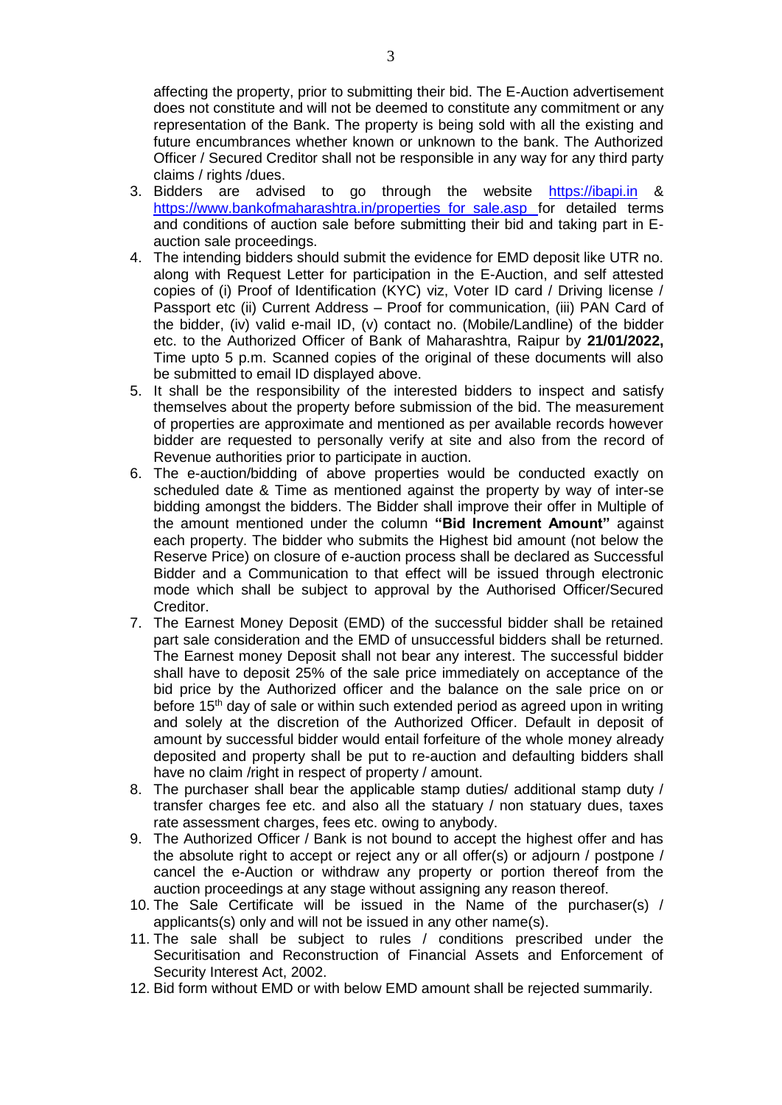affecting the property, prior to submitting their bid. The E-Auction advertisement does not constitute and will not be deemed to constitute any commitment or any representation of the Bank. The property is being sold with all the existing and future encumbrances whether known or unknown to the bank. The Authorized Officer / Secured Creditor shall not be responsible in any way for any third party claims / rights /dues.

- 3. Bidders are advised to go through the website [https://ibapi.in](https://ibapi.in/) & [https://www.bankofmaharashtra.in/p](https://www.bankofmaharashtra.in/)roperties\_for\_sale.asp for detailed terms and conditions of auction sale before submitting their bid and taking part in Eauction sale proceedings.
- 4. The intending bidders should submit the evidence for EMD deposit like UTR no. along with Request Letter for participation in the E-Auction, and self attested copies of (i) Proof of Identification (KYC) viz, Voter ID card / Driving license / Passport etc (ii) Current Address - Proof for communication, (iii) PAN Card of the bidder, (iv) valid e-mail ID, (v) contact no. (Mobile/Landline) of the bidder etc. to the Authorized Officer of Bank of Maharashtra, Raipur by **21/01/2022,** Time upto 5 p.m. Scanned copies of the original of these documents will also be submitted to email ID displayed above.
- 5. It shall be the responsibility of the interested bidders to inspect and satisfy themselves about the property before submission of the bid. The measurement of properties are approximate and mentioned as per available records however bidder are requested to personally verify at site and also from the record of Revenue authorities prior to participate in auction.
- 6. The e-auction/bidding of above properties would be conducted exactly on scheduled date & Time as mentioned against the property by way of inter-se bidding amongst the bidders. The Bidder shall improve their offer in Multiple of the amount mentioned under the column **"Bid Increment Amount"** against each property. The bidder who submits the Highest bid amount (not below the Reserve Price) on closure of e-auction process shall be declared as Successful Bidder and a Communication to that effect will be issued through electronic mode which shall be subject to approval by the Authorised Officer/Secured Creditor.
- 7. The Earnest Money Deposit (EMD) of the successful bidder shall be retained part sale consideration and the EMD of unsuccessful bidders shall be returned. The Earnest money Deposit shall not bear any interest. The successful bidder shall have to deposit 25% of the sale price immediately on acceptance of the bid price by the Authorized officer and the balance on the sale price on or before  $15<sup>th</sup>$  day of sale or within such extended period as agreed upon in writing and solely at the discretion of the Authorized Officer. Default in deposit of amount by successful bidder would entail forfeiture of the whole money already deposited and property shall be put to re-auction and defaulting bidders shall have no claim /right in respect of property / amount.
- 8. The purchaser shall bear the applicable stamp duties/ additional stamp duty / transfer charges fee etc. and also all the statuary / non statuary dues, taxes rate assessment charges, fees etc. owing to anybody.
- 9. The Authorized Officer / Bank is not bound to accept the highest offer and has the absolute right to accept or reject any or all offer(s) or adjourn / postpone / cancel the e-Auction or withdraw any property or portion thereof from the auction proceedings at any stage without assigning any reason thereof.
- 10. The Sale Certificate will be issued in the Name of the purchaser(s) / applicants(s) only and will not be issued in any other name(s).
- 11. The sale shall be subject to rules / conditions prescribed under the Securitisation and Reconstruction of Financial Assets and Enforcement of Security Interest Act, 2002.
- 12. Bid form without EMD or with below EMD amount shall be rejected summarily.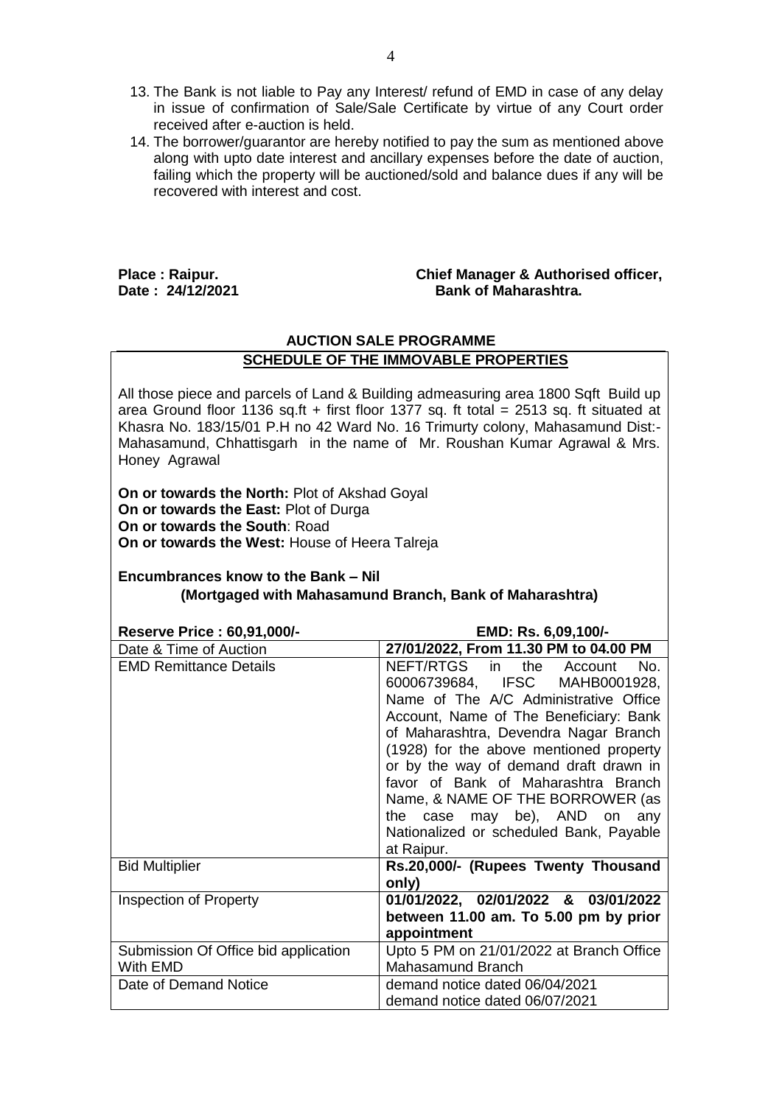- 13. The Bank is not liable to Pay any Interest/ refund of EMD in case of any delay in issue of confirmation of Sale/Sale Certificate by virtue of any Court order received after e-auction is held.
- 14. The borrower/guarantor are hereby notified to pay the sum as mentioned above along with upto date interest and ancillary expenses before the date of auction, failing which the property will be auctioned/sold and balance dues if any will be recovered with interest and cost.

#### **Place : Raipur. Chief Manager & Authorised officer,** Date: 24/12/2021 **Bank of Maharashtra.**

## **AUCTION SALE PROGRAMME SCHEDULE OF THE IMMOVABLE PROPERTIES**

All those piece and parcels of Land & Building admeasuring area 1800 Sqft Build up area Ground floor 1136 sq.ft + first floor 1377 sq. ft total = 2513 sq. ft situated at Khasra No. 183/15/01 P.H no 42 Ward No. 16 Trimurty colony, Mahasamund Dist:- Mahasamund, Chhattisgarh in the name of Mr. Roushan Kumar Agrawal & Mrs. Honey Agrawal

**On or towards the North:** Plot of Akshad Goyal **On or towards the East:** Plot of Durga **On or towards the South**: Road **On or towards the West:** House of Heera Talreja

# **Encumbrances know to the Bank – Nil (Mortgaged with Mahasamund Branch, Bank of Maharashtra)**

**Reserve Price : 60,91,000/- EMD: Rs. 6,09,100/-**

| Date & Time of Auction                           | 27/01/2022, From 11.30 PM to 04.00 PM                                                                                                                                                                                                                                                                                                                                                                                                                  |
|--------------------------------------------------|--------------------------------------------------------------------------------------------------------------------------------------------------------------------------------------------------------------------------------------------------------------------------------------------------------------------------------------------------------------------------------------------------------------------------------------------------------|
| <b>EMD Remittance Details</b>                    | NEFT/RTGS in the Account<br>No.<br>60006739684, IFSC MAHB0001928,<br>Name of The A/C Administrative Office<br>Account, Name of The Beneficiary: Bank<br>of Maharashtra, Devendra Nagar Branch<br>(1928) for the above mentioned property<br>or by the way of demand draft drawn in<br>favor of Bank of Maharashtra Branch<br>Name, & NAME OF THE BORROWER (as<br>the case may be), AND on any<br>Nationalized or scheduled Bank, Payable<br>at Raipur. |
| <b>Bid Multiplier</b>                            | Rs.20,000/- (Rupees Twenty Thousand<br>only)                                                                                                                                                                                                                                                                                                                                                                                                           |
| <b>Inspection of Property</b>                    | 01/01/2022, 02/01/2022 & 03/01/2022<br>between 11.00 am. To 5.00 pm by prior<br>appointment                                                                                                                                                                                                                                                                                                                                                            |
| Submission Of Office bid application<br>With EMD | Upto 5 PM on 21/01/2022 at Branch Office<br>Mahasamund Branch                                                                                                                                                                                                                                                                                                                                                                                          |
| Date of Demand Notice                            | demand notice dated 06/04/2021<br>demand notice dated 06/07/2021                                                                                                                                                                                                                                                                                                                                                                                       |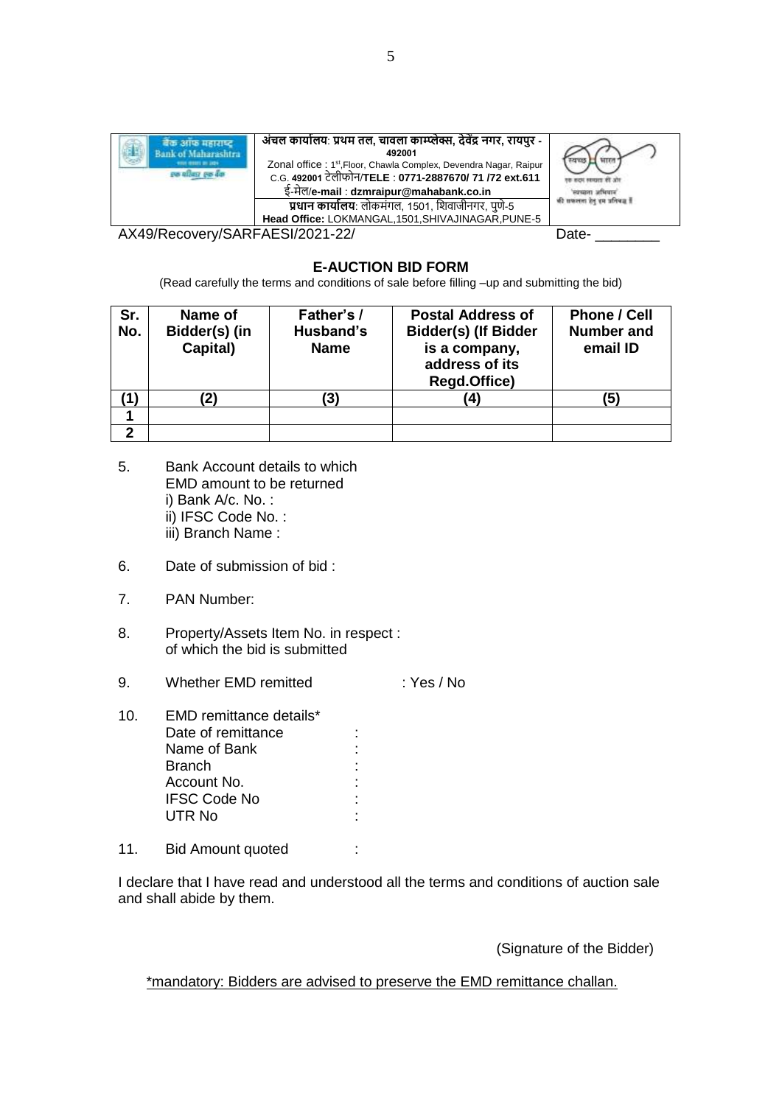| ok of Maharashtra<br>week street as lists.<br>pa aftast pa dar | अंचल कार्यालय: प्रथम तल, चावला काम्प्लेक्स, देवेंद्र नगर, रायपुर -<br>492001<br>Zonal office: 1 <sup>st</sup> , Floor, Chawla Complex, Devendra Nagar, Raipur<br>C.G. 492001 टेलीफोन/TELE : 0771-2887670/ 71 /72 ext.611<br>ई-मेल/e-mail : dzmraipur@mahabank.co.in | winder nones<br>की सफलता हेतु इस प्रतिबद्ध हैं |  |  |  |  |  |
|----------------------------------------------------------------|---------------------------------------------------------------------------------------------------------------------------------------------------------------------------------------------------------------------------------------------------------------------|------------------------------------------------|--|--|--|--|--|
|                                                                | <b>प्रधान कार्यालय</b> : लोकमंगल, 1501, शिवाजीनगर, पुणे-5<br>Head Office: LOKMANGAL, 1501, SHIVAJINAGAR, PUNE-5                                                                                                                                                     |                                                |  |  |  |  |  |
|                                                                | ---------                                                                                                                                                                                                                                                           |                                                |  |  |  |  |  |

AX49/Recovery/SARFAESI/2021-22/ Date-

## **E-AUCTION BID FORM**

(Read carefully the terms and conditions of sale before filling –up and submitting the bid)

| Sr.<br>No. | Name of<br>Bidder(s) (in<br>Capital) | Father's /<br>Husband's<br><b>Name</b> | <b>Postal Address of</b><br><b>Bidder(s) (If Bidder</b><br>is a company,<br>address of its<br><b>Regd.Office)</b> | <b>Phone / Cell</b><br><b>Number and</b><br>email ID |  |  |  |  |
|------------|--------------------------------------|----------------------------------------|-------------------------------------------------------------------------------------------------------------------|------------------------------------------------------|--|--|--|--|
|            |                                      |                                        | .4'                                                                                                               | (5)                                                  |  |  |  |  |
|            |                                      |                                        |                                                                                                                   |                                                      |  |  |  |  |
| າ          |                                      |                                        |                                                                                                                   |                                                      |  |  |  |  |

- 5. Bank Account details to which EMD amount to be returned i) Bank A/c. No. : ii) IFSC Code No. : iii) Branch Name :
- 6. Date of submission of bid :
- 7. PAN Number:
- 8. Property/Assets Item No. in respect : of which the bid is submitted
- 9. Whether EMD remitted : Yes / No
- 10. EMD remittance details\* Date of remittance : Name of Bank :<br>Branch : Branch :<br>Account No. 1999 : 1999 Account No. :<br>IFSC Code No : : : : IFSC Code No : UTR No the contract of the contract of the contract of the contract of the contract of the contract of the contract of the contract of the contract of the contract of the contract of the contract of the contract of the con
- 11. Bid Amount quoted :

I declare that I have read and understood all the terms and conditions of auction sale and shall abide by them.

(Signature of the Bidder)

\*mandatory: Bidders are advised to preserve the EMD remittance challan.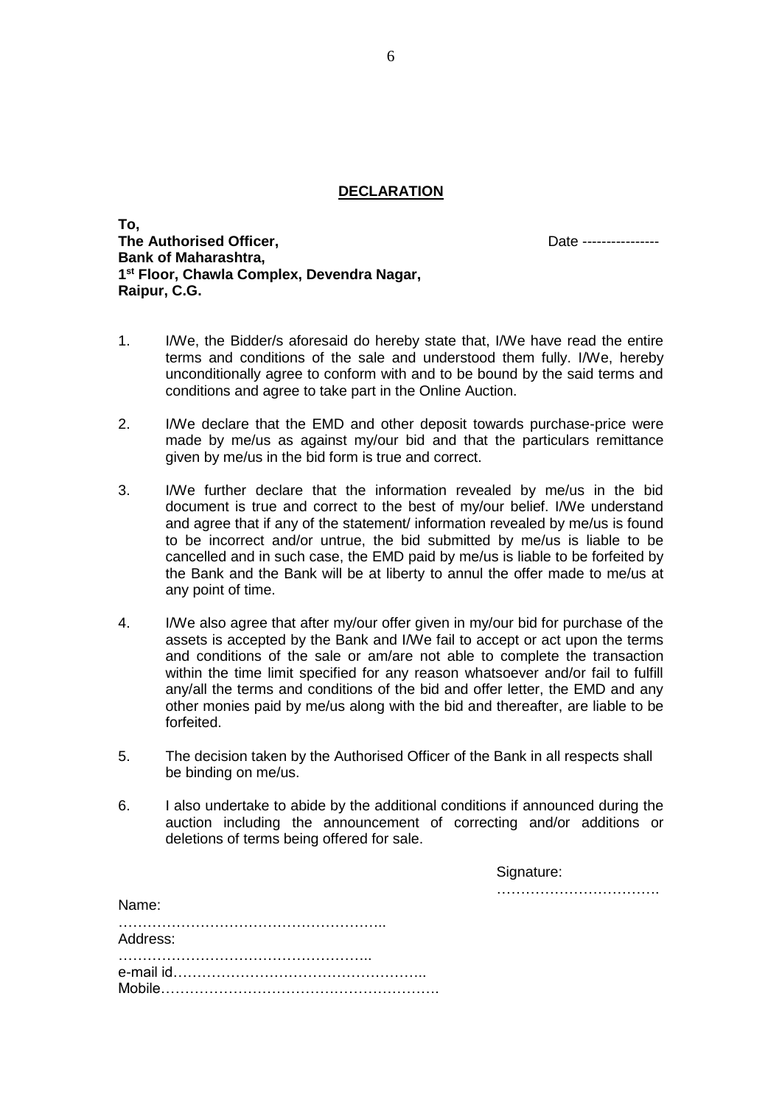#### **DECLARATION**

**To, The Authorised Officer,** Date ---------------- **Bank of Maharashtra, 1 st Floor, Chawla Complex, Devendra Nagar, Raipur, C.G.**

- 1. I/We, the Bidder/s aforesaid do hereby state that, I/We have read the entire terms and conditions of the sale and understood them fully. I/We, hereby unconditionally agree to conform with and to be bound by the said terms and conditions and agree to take part in the Online Auction.
- 2. I/We declare that the EMD and other deposit towards purchase-price were made by me/us as against my/our bid and that the particulars remittance given by me/us in the bid form is true and correct.
- 3. I/We further declare that the information revealed by me/us in the bid document is true and correct to the best of my/our belief. I/We understand and agree that if any of the statement/ information revealed by me/us is found to be incorrect and/or untrue, the bid submitted by me/us is liable to be cancelled and in such case, the EMD paid by me/us is liable to be forfeited by the Bank and the Bank will be at liberty to annul the offer made to me/us at any point of time.
- 4. I/We also agree that after my/our offer given in my/our bid for purchase of the assets is accepted by the Bank and I/We fail to accept or act upon the terms and conditions of the sale or am/are not able to complete the transaction within the time limit specified for any reason whatsoever and/or fail to fulfill any/all the terms and conditions of the bid and offer letter, the EMD and any other monies paid by me/us along with the bid and thereafter, are liable to be forfeited.
- 5. The decision taken by the Authorised Officer of the Bank in all respects shall be binding on me/us.
- 6. I also undertake to abide by the additional conditions if announced during the auction including the announcement of correcting and/or additions or deletions of terms being offered for sale.

| Signature: |  |  |  |  |  |  |  |  |  |  |  |  |  |  |
|------------|--|--|--|--|--|--|--|--|--|--|--|--|--|--|
|            |  |  |  |  |  |  |  |  |  |  |  |  |  |  |

| iname:   |  |
|----------|--|
| Address: |  |
|          |  |

Name: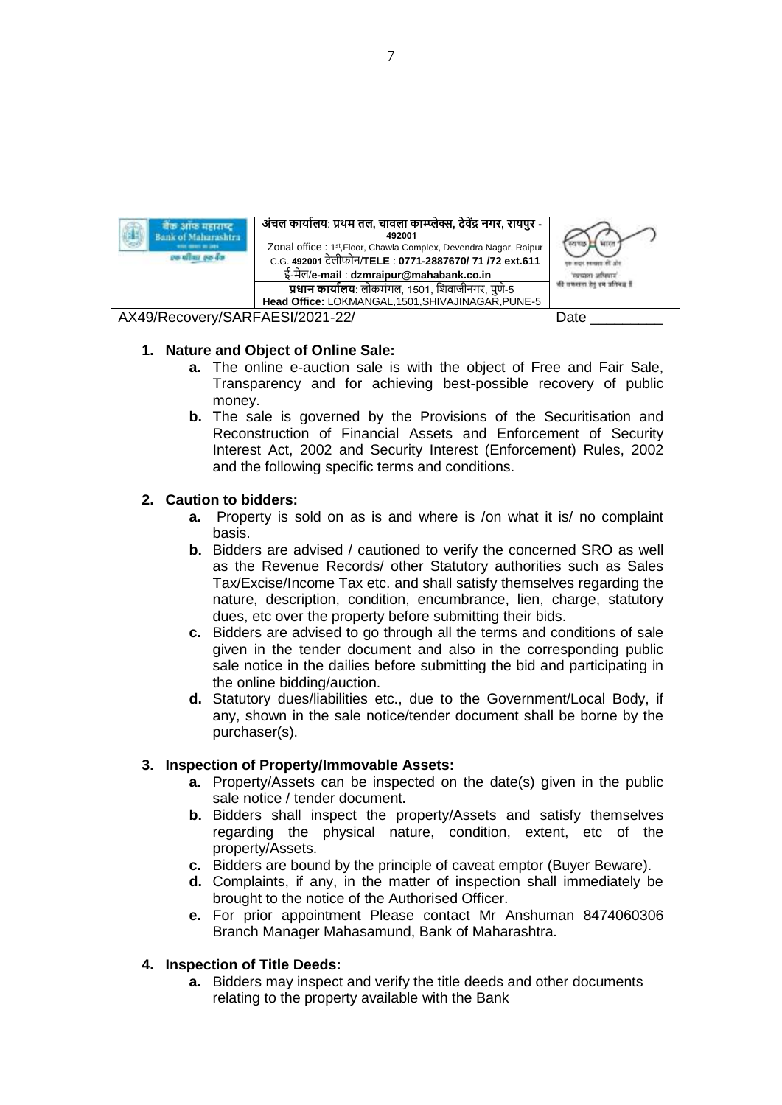

### **1. Nature and Object of Online Sale:**

- **a.** The online e-auction sale is with the object of Free and Fair Sale, Transparency and for achieving best-possible recovery of public money.
- **b.** The sale is governed by the Provisions of the Securitisation and Reconstruction of Financial Assets and Enforcement of Security Interest Act, 2002 and Security Interest (Enforcement) Rules, 2002 and the following specific terms and conditions.

## **2. Caution to bidders:**

- **a.** Property is sold on as is and where is /on what it is/ no complaint basis.
- **b.** Bidders are advised / cautioned to verify the concerned SRO as well as the Revenue Records/ other Statutory authorities such as Sales Tax/Excise/Income Tax etc. and shall satisfy themselves regarding the nature, description, condition, encumbrance, lien, charge, statutory dues, etc over the property before submitting their bids.
- **c.** Bidders are advised to go through all the terms and conditions of sale given in the tender document and also in the corresponding public sale notice in the dailies before submitting the bid and participating in the online bidding/auction.
- **d.** Statutory dues/liabilities etc., due to the Government/Local Body, if any, shown in the sale notice/tender document shall be borne by the purchaser(s).

## **3. Inspection of Property/Immovable Assets:**

- **a.** Property/Assets can be inspected on the date(s) given in the public sale notice / tender document**.**
- **b.** Bidders shall inspect the property/Assets and satisfy themselves regarding the physical nature, condition, extent, etc of the property/Assets.
- **c.** Bidders are bound by the principle of caveat emptor (Buyer Beware).
- **d.** Complaints, if any, in the matter of inspection shall immediately be brought to the notice of the Authorised Officer.
- **e.** For prior appointment Please contact Mr Anshuman 8474060306 Branch Manager Mahasamund, Bank of Maharashtra.

## **4. Inspection of Title Deeds:**

**a.** Bidders may inspect and verify the title deeds and other documents relating to the property available with the Bank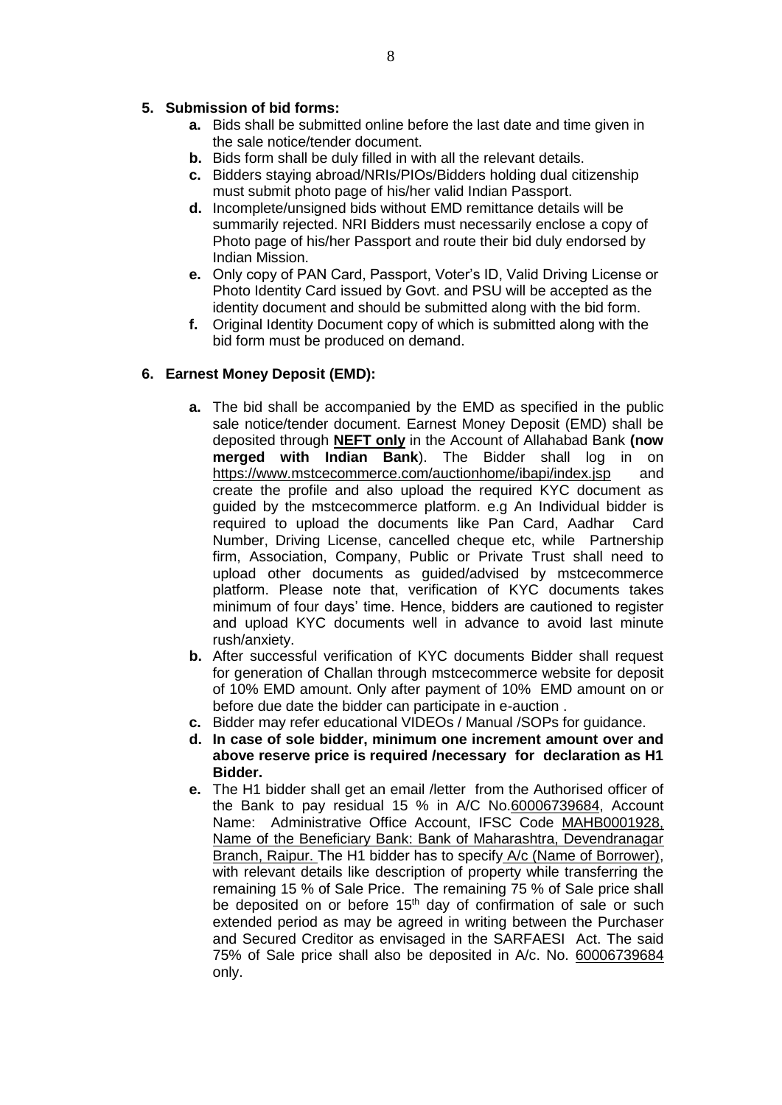# **5. Submission of bid forms:**

- **a.** Bids shall be submitted online before the last date and time given in the sale notice/tender document.
- **b.** Bids form shall be duly filled in with all the relevant details.
- **c.** Bidders staying abroad/NRIs/PIOs/Bidders holding dual citizenship must submit photo page of his/her valid Indian Passport.
- **d.** Incomplete/unsigned bids without EMD remittance details will be summarily rejected. NRI Bidders must necessarily enclose a copy of Photo page of his/her Passport and route their bid duly endorsed by Indian Mission.
- **e.** Only copy of PAN Card, Passport, Voter's ID, Valid Driving License or Photo Identity Card issued by Govt. and PSU will be accepted as the identity document and should be submitted along with the bid form.
- **f.** Original Identity Document copy of which is submitted along with the bid form must be produced on demand.

## **6. Earnest Money Deposit (EMD):**

- **a.** The bid shall be accompanied by the EMD as specified in the public sale notice/tender document. Earnest Money Deposit (EMD) shall be deposited through **NEFT only** in the Account of Allahabad Bank **(now merged with Indian Bank**). The Bidder shall log in on <https://www.mstcecommerce.com/auctionhome/ibapi/index.jsp>and create the profile and also upload the required KYC document as guided by the mstcecommerce platform. e.g An Individual bidder is required to upload the documents like Pan Card, Aadhar Card Number, Driving License, cancelled cheque etc, while Partnership firm, Association, Company, Public or Private Trust shall need to upload other documents as guided/advised by mstcecommerce platform. Please note that, verification of KYC documents takes minimum of four days' time. Hence, bidders are cautioned to register and upload KYC documents well in advance to avoid last minute rush/anxiety.
- **b.** After successful verification of KYC documents Bidder shall request for generation of Challan through mstcecommerce website for deposit of 10% EMD amount. Only after payment of 10% EMD amount on or before due date the bidder can participate in e-auction .
- **c.** Bidder may refer educational VIDEOs / Manual /SOPs for guidance.
- **d. In case of sole bidder, minimum one increment amount over and above reserve price is required /necessary for declaration as H1 Bidder.**
- **e.** The H1 bidder shall get an email /letter from the Authorised officer of the Bank to pay residual 15 % in A/C No.60006739684, Account Name: Administrative Office Account, IFSC Code MAHB0001928, Name of the Beneficiary Bank: Bank of Maharashtra, Devendranagar Branch, Raipur. The H1 bidder has to specify A/c (Name of Borrower), with relevant details like description of property while transferring the remaining 15 % of Sale Price. The remaining 75 % of Sale price shall be deposited on or before  $15<sup>th</sup>$  day of confirmation of sale or such extended period as may be agreed in writing between the Purchaser and Secured Creditor as envisaged in the SARFAESI Act. The said 75% of Sale price shall also be deposited in A/c. No. 60006739684 only.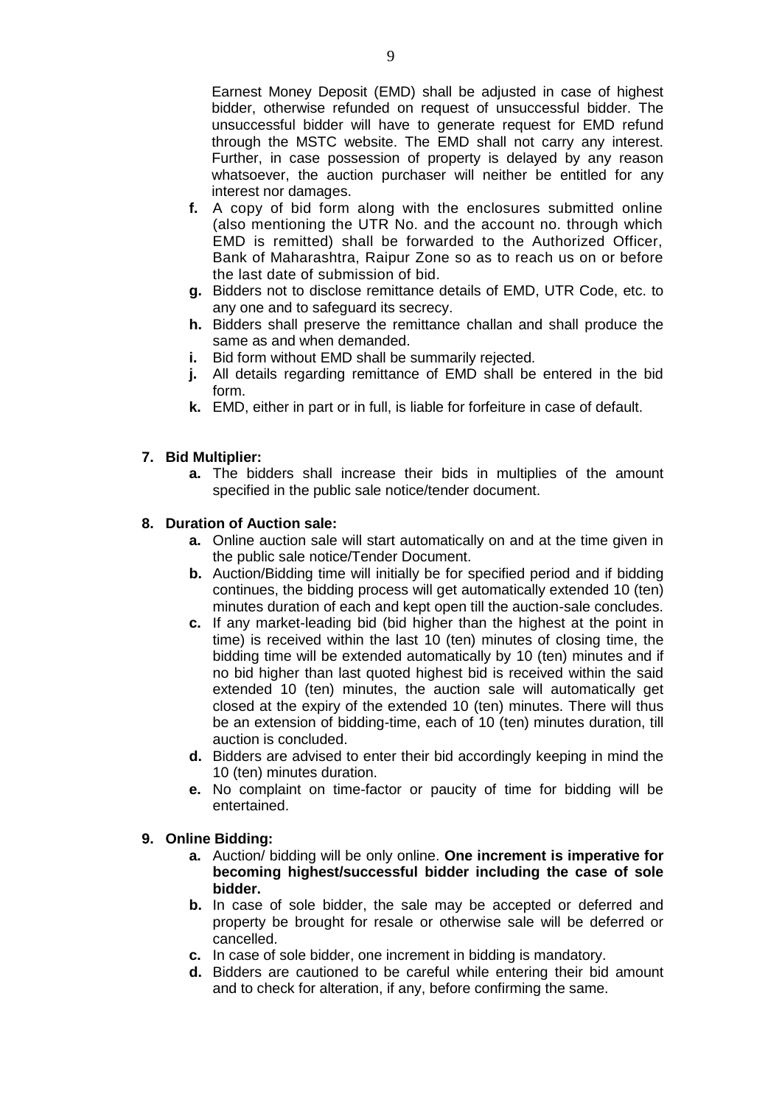Earnest Money Deposit (EMD) shall be adjusted in case of highest bidder, otherwise refunded on request of unsuccessful bidder. The unsuccessful bidder will have to generate request for EMD refund through the MSTC website. The EMD shall not carry any interest. Further, in case possession of property is delayed by any reason whatsoever, the auction purchaser will neither be entitled for any interest nor damages.

- **f.** A copy of bid form along with the enclosures submitted online (also mentioning the UTR No. and the account no. through which EMD is remitted) shall be forwarded to the Authorized Officer, Bank of Maharashtra, Raipur Zone so as to reach us on or before the last date of submission of bid.
- **g.** Bidders not to disclose remittance details of EMD, UTR Code, etc. to any one and to safeguard its secrecy.
- **h.** Bidders shall preserve the remittance challan and shall produce the same as and when demanded.
- **i.** Bid form without EMD shall be summarily rejected.
- **j.** All details regarding remittance of EMD shall be entered in the bid form.
- **k.** EMD, either in part or in full, is liable for forfeiture in case of default.

### **7. Bid Multiplier:**

**a.** The bidders shall increase their bids in multiplies of the amount specified in the public sale notice/tender document.

#### **8. Duration of Auction sale:**

- **a.** Online auction sale will start automatically on and at the time given in the public sale notice/Tender Document.
- **b.** Auction/Bidding time will initially be for specified period and if bidding continues, the bidding process will get automatically extended 10 (ten) minutes duration of each and kept open till the auction-sale concludes.
- **c.** If any market-leading bid (bid higher than the highest at the point in time) is received within the last 10 (ten) minutes of closing time, the bidding time will be extended automatically by 10 (ten) minutes and if no bid higher than last quoted highest bid is received within the said extended 10 (ten) minutes, the auction sale will automatically get closed at the expiry of the extended 10 (ten) minutes. There will thus be an extension of bidding-time, each of 10 (ten) minutes duration, till auction is concluded.
- **d.** Bidders are advised to enter their bid accordingly keeping in mind the 10 (ten) minutes duration.
- **e.** No complaint on time-factor or paucity of time for bidding will be entertained.

#### **9. Online Bidding:**

- **a.** Auction/ bidding will be only online. **One increment is imperative for becoming highest/successful bidder including the case of sole bidder.**
- **b.** In case of sole bidder, the sale may be accepted or deferred and property be brought for resale or otherwise sale will be deferred or cancelled.
- **c.** In case of sole bidder, one increment in bidding is mandatory.
- **d.** Bidders are cautioned to be careful while entering their bid amount and to check for alteration, if any, before confirming the same.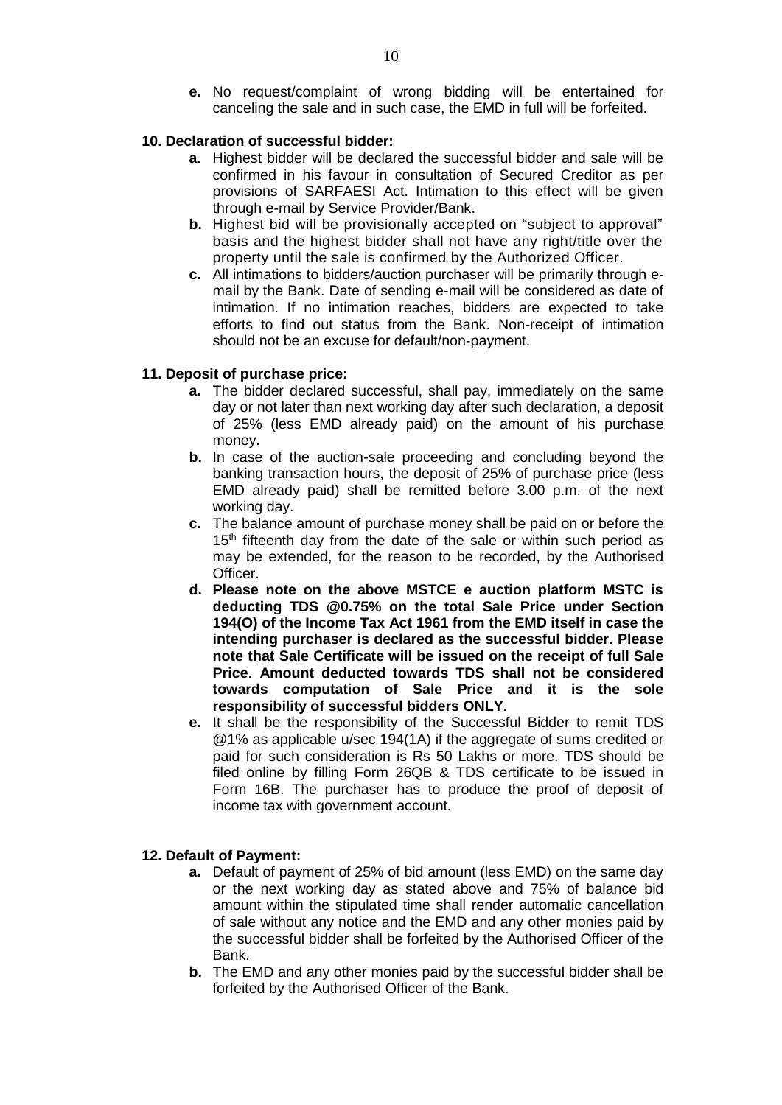**e.** No request/complaint of wrong bidding will be entertained for canceling the sale and in such case, the EMD in full will be forfeited.

### **10. Declaration of successful bidder:**

- **a.** Highest bidder will be declared the successful bidder and sale will be confirmed in his favour in consultation of Secured Creditor as per provisions of SARFAESI Act. Intimation to this effect will be given through e-mail by Service Provider/Bank.
- **b.** Highest bid will be provisionally accepted on "subject to approval" basis and the highest bidder shall not have any right/title over the property until the sale is confirmed by the Authorized Officer.
- **c.** All intimations to bidders/auction purchaser will be primarily through email by the Bank. Date of sending e-mail will be considered as date of intimation. If no intimation reaches, bidders are expected to take efforts to find out status from the Bank. Non-receipt of intimation should not be an excuse for default/non-payment.

### **11. Deposit of purchase price:**

- **a.** The bidder declared successful, shall pay, immediately on the same day or not later than next working day after such declaration, a deposit of 25% (less EMD already paid) on the amount of his purchase money.
- **b.** In case of the auction-sale proceeding and concluding beyond the banking transaction hours, the deposit of 25% of purchase price (less EMD already paid) shall be remitted before 3.00 p.m. of the next working day.
- **c.** The balance amount of purchase money shall be paid on or before the 15<sup>th</sup> fifteenth day from the date of the sale or within such period as may be extended, for the reason to be recorded, by the Authorised Officer.
- **d. Please note on the above MSTCE e auction platform MSTC is deducting TDS @0.75% on the total Sale Price under Section 194(O) of the Income Tax Act 1961 from the EMD itself in case the intending purchaser is declared as the successful bidder. Please note that Sale Certificate will be issued on the receipt of full Sale Price. Amount deducted towards TDS shall not be considered towards computation of Sale Price and it is the sole responsibility of successful bidders ONLY.**
- **e.** It shall be the responsibility of the Successful Bidder to remit TDS @1% as applicable u/sec 194(1A) if the aggregate of sums credited or paid for such consideration is Rs 50 Lakhs or more. TDS should be filed online by filling Form 26QB & TDS certificate to be issued in Form 16B. The purchaser has to produce the proof of deposit of income tax with government account.

## **12. Default of Payment:**

- **a.** Default of payment of 25% of bid amount (less EMD) on the same day or the next working day as stated above and 75% of balance bid amount within the stipulated time shall render automatic cancellation of sale without any notice and the EMD and any other monies paid by the successful bidder shall be forfeited by the Authorised Officer of the Bank.
- **b.** The EMD and any other monies paid by the successful bidder shall be forfeited by the Authorised Officer of the Bank.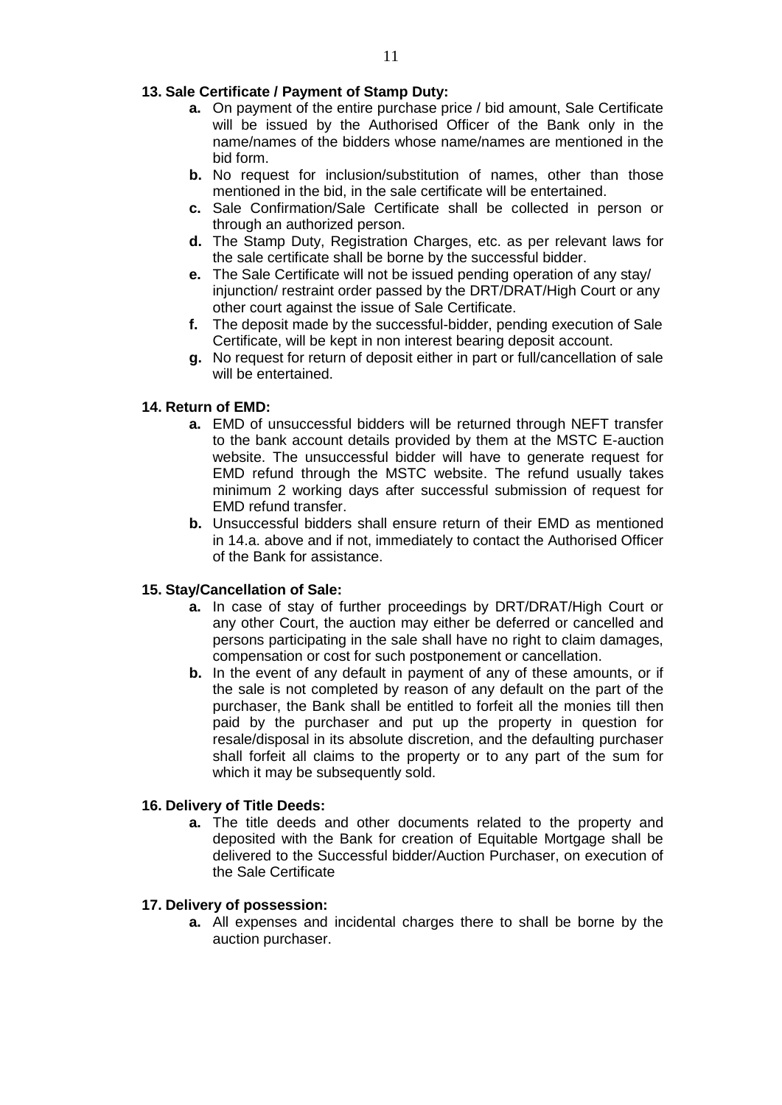# **13. Sale Certificate / Payment of Stamp Duty:**

- **a.** On payment of the entire purchase price / bid amount, Sale Certificate will be issued by the Authorised Officer of the Bank only in the name/names of the bidders whose name/names are mentioned in the bid form.
- **b.** No request for inclusion/substitution of names, other than those mentioned in the bid, in the sale certificate will be entertained.
- **c.** Sale Confirmation/Sale Certificate shall be collected in person or through an authorized person.
- **d.** The Stamp Duty, Registration Charges, etc. as per relevant laws for the sale certificate shall be borne by the successful bidder.
- **e.** The Sale Certificate will not be issued pending operation of any stay/ injunction/ restraint order passed by the DRT/DRAT/High Court or any other court against the issue of Sale Certificate.
- **f.** The deposit made by the successful-bidder, pending execution of Sale Certificate, will be kept in non interest bearing deposit account.
- **g.** No request for return of deposit either in part or full/cancellation of sale will be entertained.

# **14. Return of EMD:**

- **a.** EMD of unsuccessful bidders will be returned through NEFT transfer to the bank account details provided by them at the MSTC E-auction website. The unsuccessful bidder will have to generate request for EMD refund through the MSTC website. The refund usually takes minimum 2 working days after successful submission of request for EMD refund transfer.
- **b.** Unsuccessful bidders shall ensure return of their EMD as mentioned in 14.a. above and if not, immediately to contact the Authorised Officer of the Bank for assistance.

## **15. Stay/Cancellation of Sale:**

- **a.** In case of stay of further proceedings by DRT/DRAT/High Court or any other Court, the auction may either be deferred or cancelled and persons participating in the sale shall have no right to claim damages, compensation or cost for such postponement or cancellation.
- **b.** In the event of any default in payment of any of these amounts, or if the sale is not completed by reason of any default on the part of the purchaser, the Bank shall be entitled to forfeit all the monies till then paid by the purchaser and put up the property in question for resale/disposal in its absolute discretion, and the defaulting purchaser shall forfeit all claims to the property or to any part of the sum for which it may be subsequently sold.

## **16. Delivery of Title Deeds:**

**a.** The title deeds and other documents related to the property and deposited with the Bank for creation of Equitable Mortgage shall be delivered to the Successful bidder/Auction Purchaser, on execution of the Sale Certificate

## **17. Delivery of possession:**

**a.** All expenses and incidental charges there to shall be borne by the auction purchaser.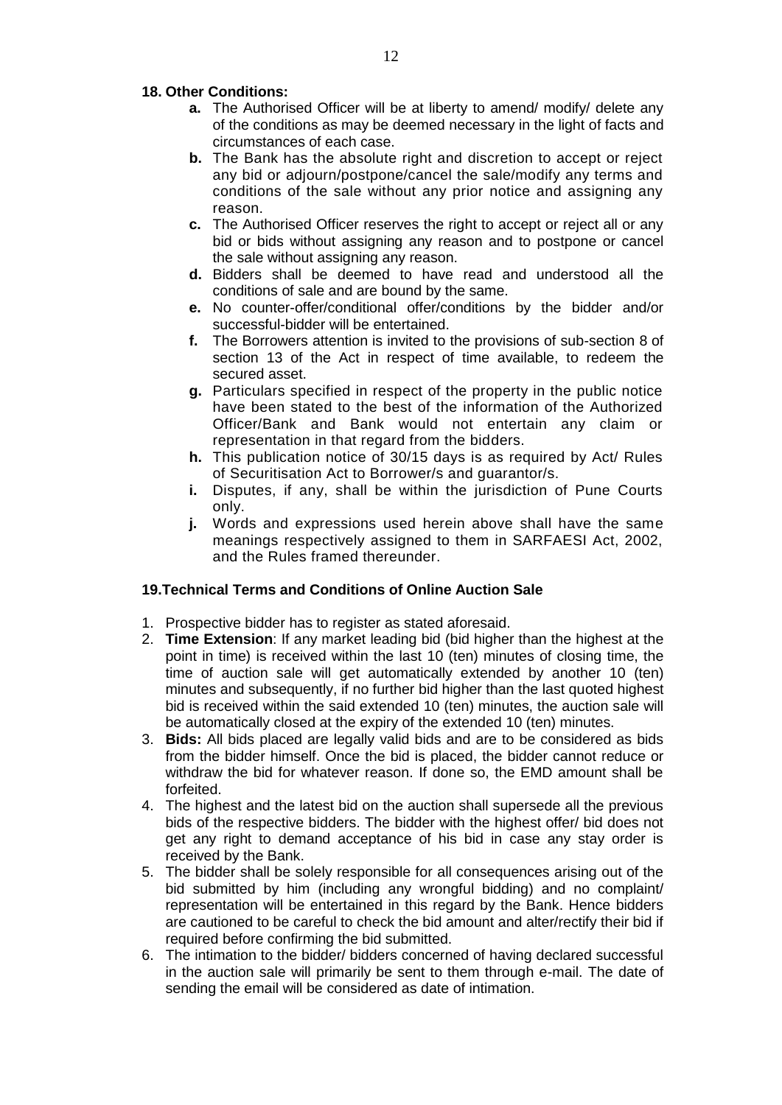# **18. Other Conditions:**

- **a.** The Authorised Officer will be at liberty to amend/ modify/ delete any of the conditions as may be deemed necessary in the light of facts and circumstances of each case.
- **b.** The Bank has the absolute right and discretion to accept or reject any bid or adjourn/postpone/cancel the sale/modify any terms and conditions of the sale without any prior notice and assigning any reason.
- **c.** The Authorised Officer reserves the right to accept or reject all or any bid or bids without assigning any reason and to postpone or cancel the sale without assigning any reason.
- **d.** Bidders shall be deemed to have read and understood all the conditions of sale and are bound by the same.
- **e.** No counter-offer/conditional offer/conditions by the bidder and/or successful-bidder will be entertained.
- **f.** The Borrowers attention is invited to the provisions of sub-section 8 of section 13 of the Act in respect of time available, to redeem the secured asset.
- **g.** Particulars specified in respect of the property in the public notice have been stated to the best of the information of the Authorized Officer/Bank and Bank would not entertain any claim or representation in that regard from the bidders.
- **h.** This publication notice of 30/15 days is as required by Act/ Rules of Securitisation Act to Borrower/s and guarantor/s.
- **i.** Disputes, if any, shall be within the jurisdiction of Pune Courts only.
- **j.** Words and expressions used herein above shall have the same meanings respectively assigned to them in SARFAESI Act, 2002, and the Rules framed thereunder.

## **19.Technical Terms and Conditions of Online Auction Sale**

- 1. Prospective bidder has to register as stated aforesaid.
- 2. **Time Extension**: If any market leading bid (bid higher than the highest at the point in time) is received within the last 10 (ten) minutes of closing time, the time of auction sale will get automatically extended by another 10 (ten) minutes and subsequently, if no further bid higher than the last quoted highest bid is received within the said extended 10 (ten) minutes, the auction sale will be automatically closed at the expiry of the extended 10 (ten) minutes.
- 3. **Bids:** All bids placed are legally valid bids and are to be considered as bids from the bidder himself. Once the bid is placed, the bidder cannot reduce or withdraw the bid for whatever reason. If done so, the EMD amount shall be forfeited.
- 4. The highest and the latest bid on the auction shall supersede all the previous bids of the respective bidders. The bidder with the highest offer/ bid does not get any right to demand acceptance of his bid in case any stay order is received by the Bank.
- 5. The bidder shall be solely responsible for all consequences arising out of the bid submitted by him (including any wrongful bidding) and no complaint/ representation will be entertained in this regard by the Bank. Hence bidders are cautioned to be careful to check the bid amount and alter/rectify their bid if required before confirming the bid submitted.
- 6. The intimation to the bidder/ bidders concerned of having declared successful in the auction sale will primarily be sent to them through e-mail. The date of sending the email will be considered as date of intimation.